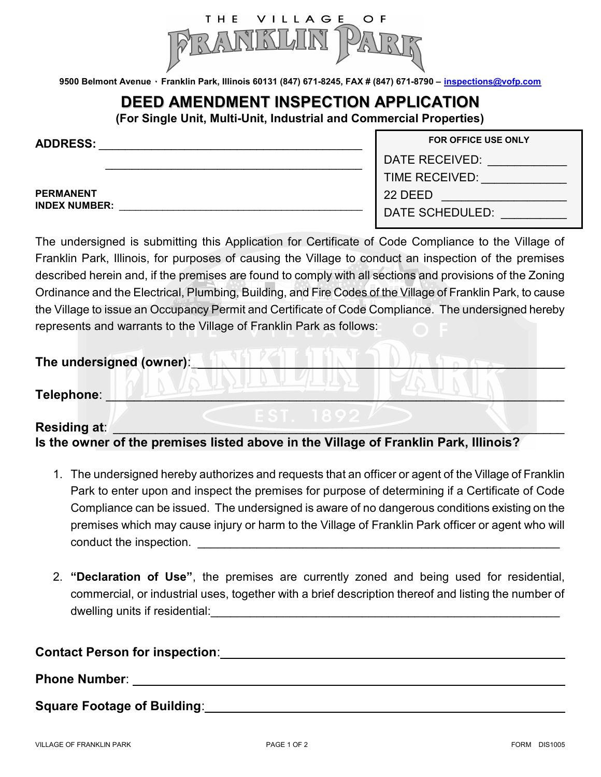

9500 Belmont Avenue · Franklin Park, Illinois 60131 (847) 671-8245, FAX # (847) 671-8790 - inspections@vofp.com

# DEED AMENDMENT INSPECTION APPLICATION

(For Single Unit, Multi-Unit, Industrial and Commercial Properties)

| <b>ADDRESS:</b>                          |  |  |
|------------------------------------------|--|--|
|                                          |  |  |
| <b>PERMANENT</b><br><b>INDEX NUMBER:</b> |  |  |

| <b>FOR OFFICE USE ONLY</b> |
|----------------------------|
| DATE RECEIVED:             |
| TIME RECEIVED:             |
| 22 DEED                    |
| DATE SCHEDULED:            |

FOR OFFICE USE ONLY

The undersigned is submitting this Application for Certificate of Code Compliance to the Village of Franklin Park, Illinois, for purposes of causing the Village to conduct an inspection of the premises described herein and, if the premises are found to comply with all sections and provisions of the Zoning Ordinance and the Electrical, Plumbing, Building, and Fire Codes of the Village of Franklin Park, to cause the Village to issue an Occupancy Permit and Certificate of Code Compliance. The undersigned hereby represents and warrants to the Village of Franklin Park as follows:

| The undersigned (owner): |  |  |
|--------------------------|--|--|
| Telephone:               |  |  |

## Residing at: Is the owner of the premises listed above in the Village of Franklin Park, Illinois?

- 1. The undersigned hereby authorizes and requests that an officer or agent of the Village of Franklin Park to enter upon and inspect the premises for purpose of determining if a Certificate of Code Compliance can be issued. The undersigned is aware of no dangerous conditions existing on the premises which may cause injury or harm to the Village of Franklin Park officer or agent who will conduct the inspection. The state of  $\sim$
- 2. "Declaration of Use", the premises are currently zoned and being used for residential, commercial, or industrial uses, together with a brief description thereof and listing the number of dwelling units if residential:

#### Contact Person for inspection:

### Phone Number: **with a set of the set of the set of the set of the set of the set of the set of the set of the set of the set of the set of the set of the set of the set of the set of the set of the set of the set of the se**

Square Footage of Building: